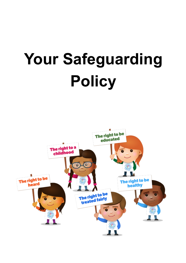# **Your Safeguarding Policy**

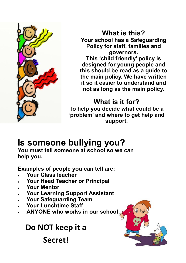

**What is this? Your school has a Safeguarding Policy for staff, families and governors.** 

**This 'child friendly' policy is designed for young people and this should be read as a guide to the main policy. We have written it so it easier to understand and not as long as the main policy.**

## **What is it for?**

**To help you decide what could be a 'problem' and where to get help and support.**

# **Is someone bullying you?**

**You must tell someone at school so we can help you.** 

**Examples of people you can tell are:**

- **Your ClassTeacher**
- **Your Head Teacher or Principal**
- **Your Mentor**
- **Your Learning Support Assistant**
- **Your Safeguarding Team**
- **Your Lunchtime Staff**
- **ANYONE who works in our school**

 **Do NOT keep it a Secret!**

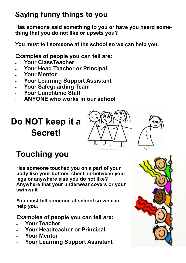## **Saying funny things to you**

**Has someone said something to you or have you heard something that you do not like or upsets you?**

**You must tell someone at the school so we can help you.** 

**Examples of people you can tell are:**

- **Your ClassTeacher**
- **Your Head Teacher or Principal**
- **Your Mentor**
- **Your Learning Support Assistant**
- **Your Safeguarding Team**
- **Your Lunchtime Staff**
- **ANYONE who works in our school**

# **Do NOT keep it a Secret!**





# **Touching you**

**Has someone touched you on a part of your body like your bottom, chest, in-between your legs or anywhere else you do not like? Anywhere that your underwear covers or your swimsuit** 

**You must tell someone at school so we can help you.** 

**Examples of people you can tell are:**

- **Your Teacher**
- **Your Headteacher or Principal**
- **Your Mentor**
- **Your Learning Support Assistant**

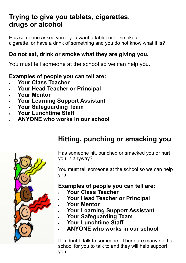## **Trying to give you tablets, cigarettes, drugs or alcohol**

Has someone asked you if you want a tablet or to smoke a cigarette, or have a drink of something and you do not know what it is?

#### **Do not eat, drink or smoke what they are giving you.**

You must tell someone at the school so we can help you.

### **Examples of people you can tell are:**

- **Your Class Teacher**
- **Your Head Teacher or Principal**
- **Your Mentor**
- **Your Learning Support Assistant**
- **Your Safeguarding Team**
- **Your Lunchtime Staff**
- **ANYONE who works in our school**

## **Hitting, punching or smacking you**



Has someone hit, punched or smacked you or hurt you in anyway?

You must tell someone at the school so we can help you.

#### **Examples of people you can tell are:**

- **Your Class Teacher**
- **Your Head Teacher or Principal**
- **Your Mentor**
- **Your Learning Support Assistant**
- **Your Safeguarding Team**
- **Your Lunchtime Staff**
- **ANYONE who works in our school**

If in doubt, talk to someone. There are many staff at school for you to talk to and they will help support you.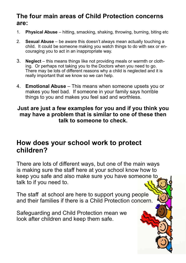### **The four main areas of Child Protection concerns are:**

- 1. **Physical Abuse** hitting, smacking, shaking, throwing, burning, biting etc
- 2. **Sexual Abuse** be aware this doesn't always mean actually touching a child. It could be someone making you watch things to do with sex or encouraging you to act in an inappropriate way.
- 3. **Neglect** this means things like not providing meals or warmth or clothing. Or perhaps not taking you to the Doctors when you need to go. There may be lots of different reasons why a child is neglected and it is really important that we know so we can help.
- 4. **Emotional Abuse** This means when someone upsets you or makes you feel bad. If someone in your family says horrible things to you and makes you feel sad and worthless.

#### **Just are just a few examples for you and if you think you may have a problem that is similar to one of these then talk to someone to check.**

## **How does your school work to protect children?**

There are lots of different ways, but one of the main ways is making sure the staff here at your school know how to keep you safe and also make sure you have someone to talk to if you need to.

The staff at school are here to support young people and their families if there is a Child Protection concern.

Safeguarding and Child Protection mean we look after children and keep them safe.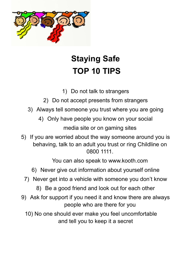

# **Staying Safe TOP 10 TIPS**

- 1) Do not talk to strangers
- 2) Do not accept presents from strangers
- 3) Always tell someone you trust where you are going
	- 4) Only have people you know on your social media site or on gaming sites
- 5) If you are worried about the way someone around you is behaving, talk to an adult you trust or ring Childline on 0800 1111.

You can also speak to www.kooth.com

- 6) Never give out information about yourself online
- 7) Never get into a vehicle with someone you don't know
	- 8) Be a good friend and look out for each other
- 9) Ask for support if you need it and know there are always people who are there for you
	- 10) No one should ever make you feel uncomfortable and tell you to keep it a secret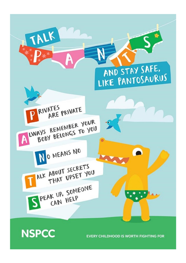# **NSPCC**

**EVERY CHILDHOOD IS WORTH FIGHTING FOR**